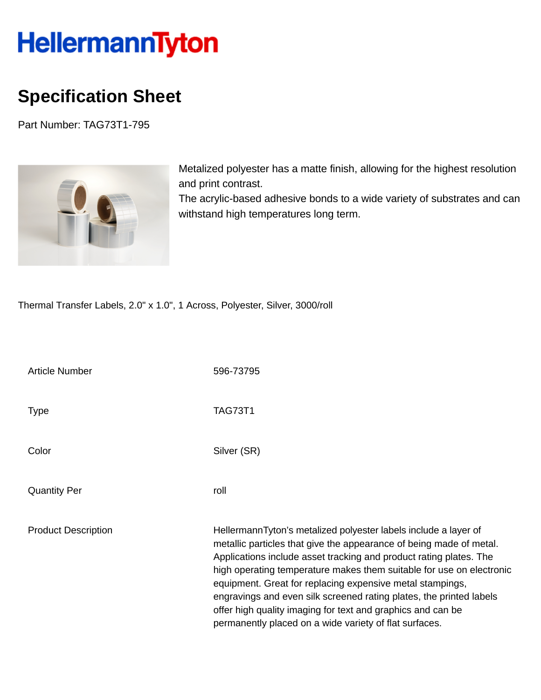## HellermannTyton

## **Specification Sheet**

Part Number: TAG73T1-795



Metalized polyester has a matte finish, allowing for the highest resolution and print contrast.

The acrylic-based adhesive bonds to a wide variety of substrates and can withstand high temperatures long term.

Thermal Transfer Labels, 2.0" x 1.0", 1 Across, Polyester, Silver, 3000/roll

| <b>Article Number</b>      | 596-73795                                                                                                                                                                                                                                                                                                                                                                                                                                                                                                                                         |
|----------------------------|---------------------------------------------------------------------------------------------------------------------------------------------------------------------------------------------------------------------------------------------------------------------------------------------------------------------------------------------------------------------------------------------------------------------------------------------------------------------------------------------------------------------------------------------------|
| <b>Type</b>                | <b>TAG73T1</b>                                                                                                                                                                                                                                                                                                                                                                                                                                                                                                                                    |
| Color                      | Silver (SR)                                                                                                                                                                                                                                                                                                                                                                                                                                                                                                                                       |
| <b>Quantity Per</b>        | roll                                                                                                                                                                                                                                                                                                                                                                                                                                                                                                                                              |
| <b>Product Description</b> | HellermannTyton's metalized polyester labels include a layer of<br>metallic particles that give the appearance of being made of metal.<br>Applications include asset tracking and product rating plates. The<br>high operating temperature makes them suitable for use on electronic<br>equipment. Great for replacing expensive metal stampings,<br>engravings and even silk screened rating plates, the printed labels<br>offer high quality imaging for text and graphics and can be<br>permanently placed on a wide variety of flat surfaces. |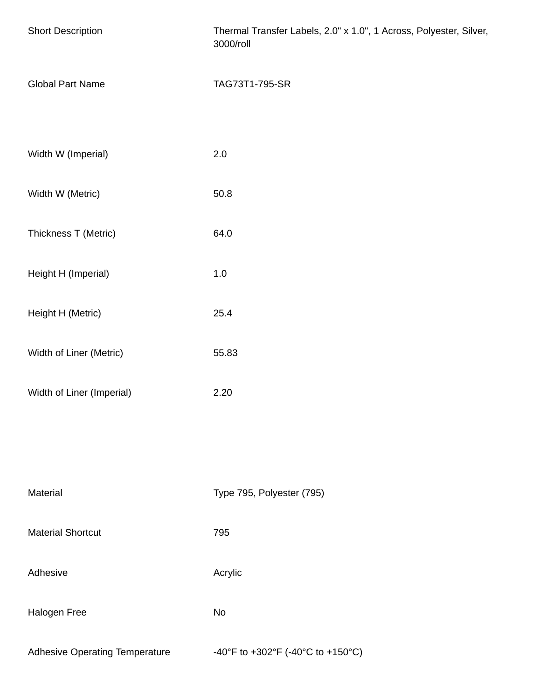| <b>Short Description</b>              | Thermal Transfer Labels, 2.0" x 1.0", 1 Across, Polyester, Silver,<br>3000/roll |  |
|---------------------------------------|---------------------------------------------------------------------------------|--|
| <b>Global Part Name</b>               | TAG73T1-795-SR                                                                  |  |
| Width W (Imperial)                    | 2.0                                                                             |  |
| Width W (Metric)                      | 50.8                                                                            |  |
| Thickness T (Metric)                  | 64.0                                                                            |  |
| Height H (Imperial)                   | $1.0\,$                                                                         |  |
| Height H (Metric)                     | 25.4                                                                            |  |
| Width of Liner (Metric)               | 55.83                                                                           |  |
| Width of Liner (Imperial)             | 2.20                                                                            |  |
|                                       |                                                                                 |  |
| Material                              | Type 795, Polyester (795)                                                       |  |
| <b>Material Shortcut</b>              | 795                                                                             |  |
| Adhesive                              | Acrylic                                                                         |  |
| Halogen Free                          | No                                                                              |  |
| <b>Adhesive Operating Temperature</b> | -40°F to +302°F (-40°C to +150°C)                                               |  |